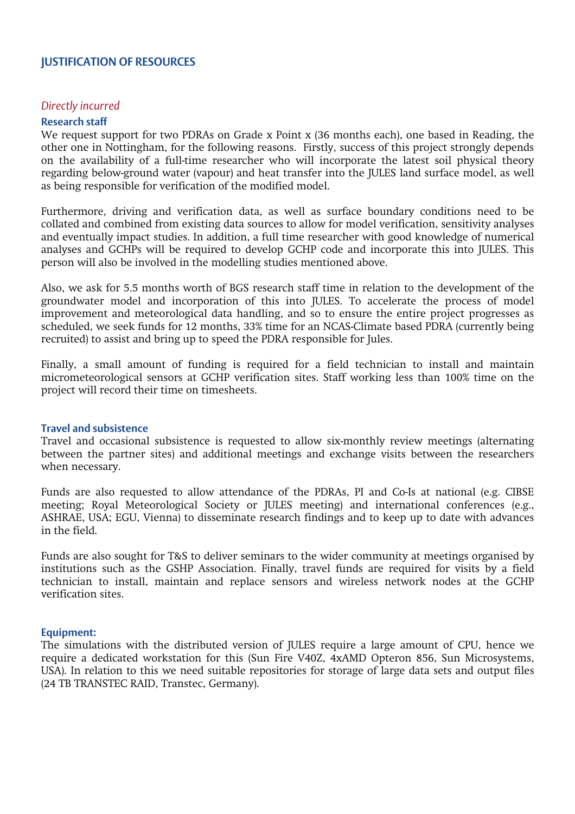## **JUSTIFICATION OF RESOURCES**

# *Directly incurred*

### **Research staff**

We request support for two PDRAs on Grade x Point x (36 months each), one based in Reading, the other one in Nottingham, for the following reasons. Firstly, success of this project strongly depends on the availability of a full-time researcher who will incorporate the latest soil physical theory regarding below-ground water (vapour) and heat transfer into the JULES land surface model, as well as being responsible for verification of the modified model.

Furthermore, driving and verification data, as well as surface boundary conditions need to be collated and combined from existing data sources to allow for model verification, sensitivity analyses and eventually impact studies. In addition, a full time researcher with good knowledge of numerical analyses and GCHPs will be required to develop GCHP code and incorporate this into JULES. This person will also be involved in the modelling studies mentioned above.

Also, we ask for 5.5 months worth of BGS research staff time in relation to the development of the groundwater model and incorporation of this into JULES. To accelerate the process of model improvement and meteorological data handling, and so to ensure the entire project progresses as scheduled, we seek funds for 12 months, 33% time for an NCAS-Climate based PDRA (currently being recruited) to assist and bring up to speed the PDRA responsible for Jules.

Finally, a small amount of funding is required for a field technician to install and maintain micrometeorological sensors at GCHP verification sites. Staff working less than 100% time on the project will record their time on timesheets.

#### **Travel and subsistence**

Travel and occasional subsistence is requested to allow six-monthly review meetings (alternating between the partner sites) and additional meetings and exchange visits between the researchers when necessary.

Funds are also requested to allow attendance of the PDRAs, PI and Co-Is at national (e.g. CIBSE meeting; Royal Meteorological Society or JULES meeting) and international conferences (e.g., ASHRAE, USA; EGU, Vienna) to disseminate research findings and to keep up to date with advances in the field.

Funds are also sought for T&S to deliver seminars to the wider community at meetings organised by institutions such as the GSHP Association. Finally, travel funds are required for visits by a field technician to install, maintain and replace sensors and wireless network nodes at the GCHP verification sites.

#### **Equipment:**

The simulations with the distributed version of JULES require a large amount of CPU, hence we require a dedicated workstation for this (Sun Fire V40Z, 4xAMD Opteron 856, Sun Microsystems, USA). In relation to this we need suitable repositories for storage of large data sets and output files (24 TB TRANSTEC RAID, Transtec, Germany).